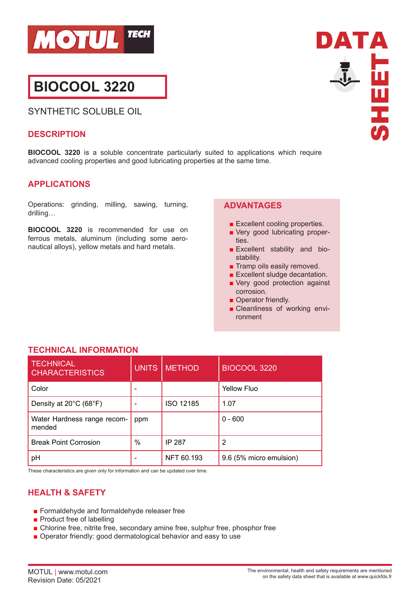

# **BIOCOOL 3220**

SYNTHETIC SOLUBLE OIL

#### **DESCRIPTION**

**SHEET** 

DATA

**BIOCOOL 3220** is a soluble concentrate particularly suited to applications which require advanced cooling properties and good lubricating properties at the same time.

## **APPLICATIONS**

Operations: grinding, milling, sawing, turning, drilling…

**BIOCOOL 3220** is recommended for use on ferrous metals, aluminum (including some aeronautical alloys), yellow metals and hard metals.

## **ADVANTAGES**

- Excellent cooling properties.
- Very good lubricating properties.
- Excellent stability and biostability.
- Tramp oils easily removed.
- Excellent sludge decantation.
- Very good protection against corrosion.
- Operator friendly.
- Cleanliness of working environment

# **TECHNICAL INFORMATION**

| <b>TECHNICAL</b><br><b>CHARACTERISTICS</b> | <b>UNITS</b> | <b>METHOD</b> | <b>BIOCOOL 3220</b>     |
|--------------------------------------------|--------------|---------------|-------------------------|
| Color                                      |              |               | Yellow Fluo             |
| Density at 20°C (68°F)                     |              | ISO 12185     | 1.07                    |
| Water Hardness range recom-<br>mended      | ppm          |               | $0 - 600$               |
| <b>Break Point Corrosion</b>               | %            | <b>IP 287</b> | 2                       |
| pH                                         |              | NFT 60.193    | 9.6 (5% micro emulsion) |

These characteristics are given only for information and can be updated over time.

# **HEALTH & SAFETY**

- Formaldehyde and formaldehyde releaser free
- Product free of labelling
- Chlorine free, nitrite free, secondary amine free, sulphur free, phosphor free
- Operator friendly: good dermatological behavior and easy to use